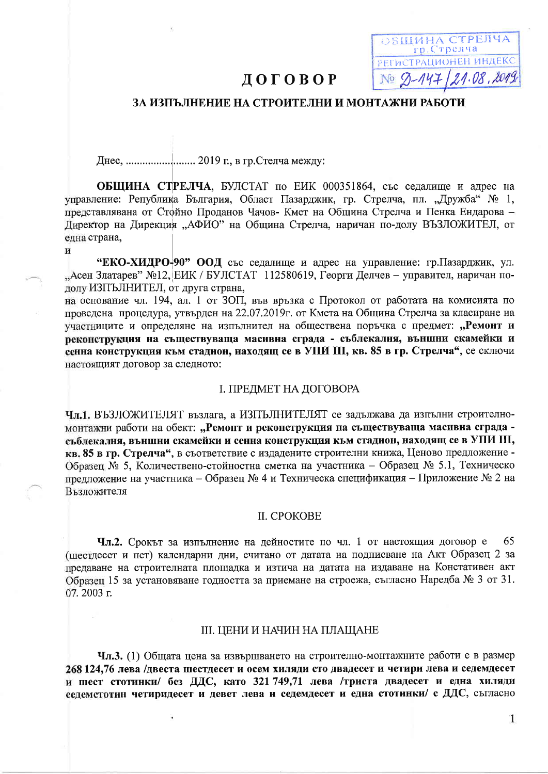# ДОГОВОР

# ЗА ИЗПЪЛНЕНИЕ НА СТРОИТЕЛНИ И МОНТАЖНИ РАБОТИ

ЭБЩИНА СТРЕЛЧА гр. Стрелча РЕГИСТРАЦИОНЕН ИНДЕКС No 9-147/21.08.2019

И

ОБЩИНА СТРЕЛЧА, БУЛСТАТ по ЕИК 000351864, със седалище и адрес на управление: Република България, Област Пазарджик, гр. Стрелча, пл. "Дружба" № 1, представлявана от Стойно Проданов Чачов- Кмет на Община Стрелча и Пенка Ендарова -Директор на Дирекция "АФИО" на Община Стрелча, наричан по-долу ВЪЗЛОЖИТЕЛ, от една страна.

"ЕКО-ХИДРО-90" ООД със седалище и адрес на управление: гр. Пазарджик, ул. "Асен Златарев" №12, ЕИК / БУЛСТАТ 112580619, Георги Делчев - управител, наричан пололу ИЗПЪЛНИТЕЛ, от лруга страна.

на основание чл. 194, ал. 1 от ЗОП, във връзка с Протокол от работата на комисията по проведена процедура, утвърден на 22.07.2019 г. от Кмета на Община Стрелча за класиране на участниците и определяне на изпълнител на обществена поръчка с предмет: "Ремонт и реконструкция на съществуваща масивна сграда - съблекалня, външни скамейки и сенна конструкция към стадион, находящ се в УПИ III, кв. 85 в гр. Стрелча", се сключи настоящият договор за следното:

### І. ПРЕДМЕТ НА ДОГОВОРА

Чл.1. ВЪЗЛОЖИТЕЛЯТ възлага, а ИЗПЪЛНИТЕЛЯТ се задължава да изпълни строителномонтажни работи на обект: "Ремонт и реконструкция на съществуваща масивна сграда съблекалня, външни скамейки и сенна конструкция към стадион, находящ се в УПИ III, кв. 85 в гр. Стрелча", в съответствие с издадените строителни книжа, Ценово предложение -Образец № 5, Количествено-стойностна сметка на участника – Образец № 5.1, Техническо предложение на участника – Образец № 4 и Техническа спецификация – Приложение № 2 на Възложителя

## II. CPOKOBE

Чл.2. Срокът за изпълнение на дейностите по чл. 1 от настоящия договор е 65 (шестдесет и пет) календарни дни, считано от датата на подписване на Акт Образец 2 за предаване на строителната площадка и изтича на датата на издаване на Констативен акт Образец 15 за установяване годността за приемане на строежа, съгласно Наредба № 3 от 31. 07.2003 г.

### III. ЦЕНИ И НАЧИН НА ПЛАЩАНЕ

Чл.3. (1) Общата цена за извършването на строително-монтажните работи е в размер 268 124,76 лева /двеста шестдесет и осем хиляди сто двадесет и четири лева и седемдесет и шест стотинки/ без ДДС, като 321 749,71 лева /триста двадесет и една хиляди седемстотин четиридесет и девет лева и седемдесет и една стотинки/ с ДДС, съгласно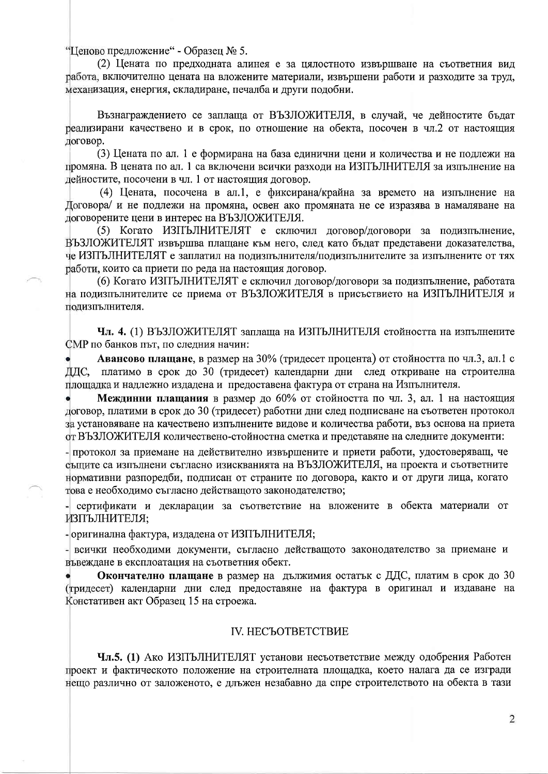"Ценово предложение" - Образец № 5.

(2) Цената по предходната алинея е за цялостното извършване на съответния вид работа, включително цената на вложените материали, извършени работи и разходите за труд, механизация, енергия, складиране, печалба и лруги подобни.

Възнаграждението се заплаща от ВЪЗЛОЖИТЕЛЯ, в случай, че дейностите бъдат реализирани качествено и в срок, по отношение на обекта, посочен в чл.2 от настоящия логовор.

(3) Цената по ал. 1 е формирана на база единични цени и количества и не подлежи на промяна. В цената по ал. 1 са включени всички разходи на ИЗПЪЛНИТЕЛЯ за изпълнение на дейностите, посочени в чл. 1 от настоящия договор.

(4) Цената, посочена в ал.1, е фиксирана/крайна за времето на изпълнение на Договора/ и не подлежи на промяна, освен ако промяната не се изразява в намаляване на логоворените цени в интерес на ВЪЗЛОЖИТЕЛЯ.

(5) Когато ИЗПЪЛНИТЕЛЯТ е сключил договор/договори за подизпълнение. ВЪЗЛОЖИТЕЛЯТ извършва плащане към него, след като бъдат представени доказателства, че ИЗПЪЛНИТЕЛЯТ е заплатил на подизпълнителя/подизпълнителите за изпълнените от тях работи, които са приети по реда на настоящия договор.

(6) Когато ИЗПЪЛНИТЕЛЯТ е сключил договор/договори за подизпълнение, работата на подизпълнителите се приема от ВЪЗЛОЖИТЕЛЯ в присъствието на ИЗПЪЛНИТЕЛЯ и подизпълнителя.

Чл. 4. (1) ВЪЗЛОЖИТЕЛЯТ заплаща на ИЗПЪЛНИТЕЛЯ стойността на изпълнените СМР по банков път, по следния начин:

Авансово плащане, в размер на 30% (тридесет процента) от стойността по чл.3, ал.1 с платимо в срок до 30 (тридесет) календарни дни след откриване на строителна ДДС, площадка и надлежно издадена и предоставена фактура от страна на Изпълнителя.

Междинни плащания в размер до 60% от стойността по чл. 3, ал. 1 на настоящия договор, платими в срок до 30 (тридесет) работни дни след подписване на съответен протокол за установяване на качествено изпълнените видове и количества работи, въз основа на приета от ВЪЗЛОЖИТЕЛЯ количествено-стойностна сметка и представяне на следните документи:

- протокол за приемане на действително извършените и приети работи, удостоверяващ, че същите са изпълнени съгласно изискванията на ВЪЗЛОЖИТЕЛЯ, на проекта и съответните нормативни разпоредби, подписан от страните по договора, както и от други лица, когато това е необходимо съгласно действащото законодателство;

- сертификати и декларации за съответствие на вложените в обекта материали от ИЗПЪЛНИТЕЛЯ;

- оригинална фактура, издадена от ИЗПЪЛНИТЕЛЯ;

- всички необходими документи, съгласно действащото законодателство за приемане и въвеждане в експлоатация на съответния обект.

Окончателно плащане в размер на дължимия остатък с ДДС, платим в срок до 30 (тридесет) календарни дни след предоставяне на фактура в оригинал и издаване на Констативен акт Образец 15 на строежа.

# **IV. НЕСЪОТВЕТСТВИЕ**

Чл.5. (1) Ако ИЗПЪЛНИТЕЛЯТ установи несъответствие между одобрения Работен проект и фактическото положение на строителната площадка, което налага да се изгради нещо различно от заложеното, е длъжен незабавно да спре строителството на обекта в тази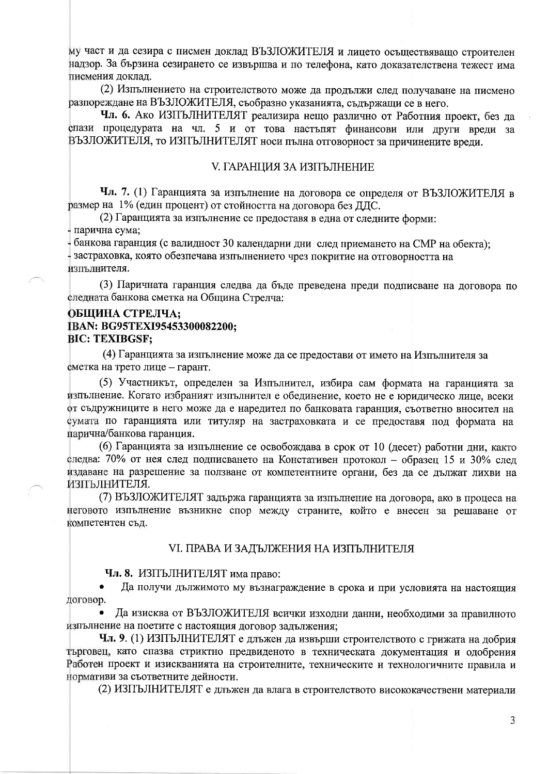му част и да сезира с писмен доклад ВЪЗЛОЖИТЕЛЯ и лицето осъществяващо строителен надзор. За бързина сезирането се извършва и по телефона, като доказателствена тежест има писмения доклад.

(2) Изпълнението на строителството може да продължи след получаване на писмено разпореждане на ВЪЗЛОЖИТЕЛЯ, съобразно указанията, съдържащи се в него.

Чл. 6. Ако ИЗПЪЛНИТЕЛЯТ реализира нещо различно от Работния проект, без да спази процедурата на чл. 5 и от това настъпят финансови или други вреди за ВЪЗЛОЖИТЕЛЯ, то ИЗПЪЛНИТЕЛЯТ носи пълна отговорност за причинените врели.

### **V. ГАРАНЦИЯ ЗА ИЗПЪЛНЕНИЕ**

Чл. 7. (1) Гаранцията за изпълнение на договора се определя от ВЪЗЛОЖИТЕЛЯ в размер на 1% (един процент) от стойността на договора без ДДС.

(2) Гаранцията за изпълнение се предоставя в една от следните форми: - парична сума;

банкова гаранция (с валидност 30 календарни дни след приемането на СМР на обекта); застраховка, която обезпечава изпълнението чрез покритие на отговорността на изпълнителя.

(3) Паричната гаранция следва да бъде преведена преди подписване на договора по следната банкова сметка на Община Стрелча:

### ОБЩИНА СТРЕЛЧА; IBAN: BG95TEXI95453300082200; **BIC: TEXIBGSF:**

(4) Гаранцията за изпълнение може да се предостави от името на Изпълнителя за сметка на трето лице - гарант.

(5) Участникът, определен за Изпълнител, избира сам формата на гаранцията за изпълнение. Когато избраният изпълнител е обединение, което не е юридическо лице, всеки от съдружниците в него може да е наредител по банковата гаранция, съответно вносител на сумата по гаранцията или титуляр на застраховката и се предоставя под формата на парична/банкова гаранция.

(6) Гаранцията за изпълнение се освобождава в срок от 10 (десет) работни дни, както следва: 70% от нея след подписването на Констативен протокол - образец 15 и 30% след издаване на разрешение за ползване от компетентните органи, без да се дължат лихви на ИЗПЪЛНИТЕЛЯ.

(7) ВЪЗЛОЖИТЕЛЯТ задържа гаранцията за изпълнение на договора, ако в процеса на неговото изпълнение възникне спор между страните, който е внесен за решаване от компетентен съд.

### VI. ПРАВА И ЗАДЪЛЖЕНИЯ НА ИЗПЪЛНИТЕЛЯ

Чл. 8. ИЗПЪЛНИТЕЛЯТ има право:

Да получи дължимото му възнаграждение в срока и при условията на настоящия договор.

Да изисква от ВЪЗЛОЖИТЕЛЯ всички изходни данни, необходими за правилното изпълнение на поетите с настоящия договор задължения;

Чл. 9. (1) ИЗПЪЛНИТЕЛЯТ е длъжен да извърши строителството с грижата на добрия търговец, като спазва стриктно предвиденото в техническата документация и одобрения Работен проект и изискванията на строителните, техническите и технологичните правила и нормативи за съответните дейности.

(2) ИЗПЪЛНИТЕЛЯТ е длъжен да влага в строителството висококачествени материали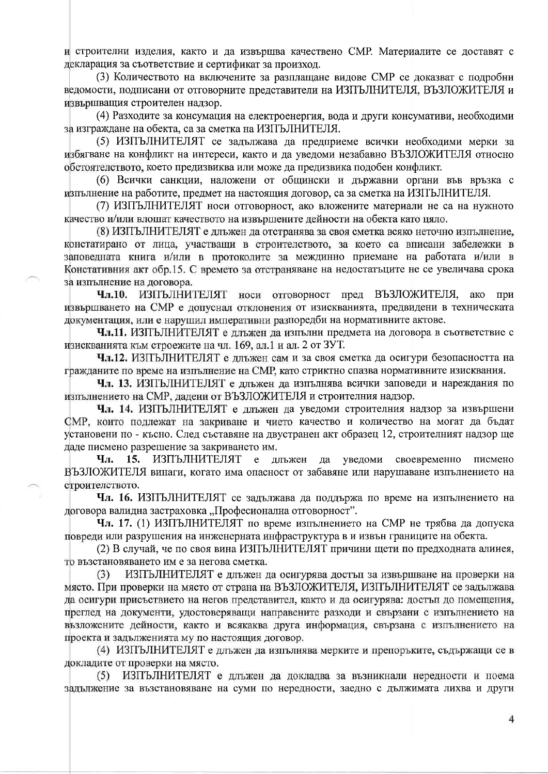и строителни изделия, както и да извършва качествено СМР. Материалите се доставят с декларация за съответствие и сертификат за произход.

(3) Количеството на включените за разплашане вилове СМР се локазват с полробни ведомости, подписани от отговорните представители на ИЗПЪЛНИТЕЛЯ. ВЪЗЛОЖИТЕЛЯ и извършващия строителен надзор.

(4) Разходите за консумация на електроенергия, вода и други консумативи, необходими за изграждане на обекта, са за сметка на ИЗПЪЛНИТЕЛЯ.

(5) ИЗПЪЛНИТЕЛЯТ се задължава да предприеме всички необходими мерки за избягване на конфликт на интереси, както и да уведоми незабавно ВЪЗЛОЖИТЕЛЯ относно обстоятелството, което предизвиква или може да предизвика подобен конфликт.

(6) Всички санкции, наложени от общински и държавни органи във връзка с изпълнение на работите, предмет на настоящия договор, са за сметка на ИЗПЪЛНИТЕЛЯ.

(7) ИЗПЪЛНИТЕЛЯТ носи отговорност, ако вложените материали не са на нужното качество и/или влошат качеството на извършените дейности на обекта като цяло.

(8) ИЗПЪЛНИТЕЛЯТ е длъжен да отстранява за своя сметка всяко неточно изпълнение, констатирано от лица, участващи в строителството, за което са вписани забележки в заповедната книга и/или в протоколите за междинно приемане на работата и/или в Констативния акт обр.15. С времето за отстраняване на недостатъците не се увеличава срока за изпълнение на договора.

носи отговорност пред ВЪЗЛОЖИТЕЛЯ, ИЗПЪЛНИТЕЛЯТ Чл.10. ако при извършването на СМР е допуснал отклонения от изискванията, предвидени в техническата документация, или е нарушил императивни разпоредби на нормативните актове.

Чл.11. ИЗПЪЛНИТЕЛЯТ е длъжен да изпълни предмета на договора в съответствие с изискванията към строежите на чл. 169, ал.1 и ал. 2 от ЗУТ.

Чл.12. ИЗПЪЛНИТЕЛЯТ е длъжен сам и за своя сметка да осигури безопасността на гражданите по време на изпълнение на СМР, като стриктно спазва нормативните изисквания.

Чл. 13. ИЗПЪЛНИТЕЛЯТ е длъжен да изпълнява всички заповеди и нареждания по изпълнението на СМР, дадени от ВЪЗЛОЖИТЕЛЯ и строителния надзор.

Чл. 14. ИЗПЪЛНИТЕЛЯТ е длъжен да уведоми строителния надзор за извършени СМР, които подлежат на закриване и чието качество и количество на могат да бъдат установени по - късно. След съставяне на двустранен акт образец 12, строителният надзор ще даде писмено разрешение за закриването им.

ИЗПЪЛНИТЕЛЯТ Чл. 15.  $\mathbf e$ длъжен да уведоми своевременно писмено ВЪЗЛОЖИТЕЛЯ винаги, когато има опасност от забавяне или нарушаване изпълнението на строителството.

Чл. 16. ИЗПЪЛНИТЕЛЯТ се задължава да поддържа по време на изпълнението на договора валидна застраховка "Професионална отговорност".

Чл. 17. (1) ИЗПЪЛНИТЕЛЯТ по време изпълнението на СМР не трябва да допуска повреди или разрушения на инженерната инфраструктура в и извън границите на обекта.

(2) В случай, че по своя вина ИЗПЪЛНИТЕЛЯТ причини щети по предходната алинея, то възстановяването им е за негова сметка.

 $(3)$ ИЗПЪЛНИТЕЛЯТ е длъжен да осигурява достъп за извършване на проверки на място. При проверки на място от страна на ВЪЗЛОЖИТЕЛЯ, ИЗПЪЛНИТЕЛЯТ се задължава да осигури присъствието на негов представител, както и да осигурява: достъп до помещения, преглед на документи, удостоверяващи направените разходи и свързани с изпълнението на възложените дейности, както и всякаква друга информация, свързана с изпълнението на проекта и задълженията му по настоящия договор.

(4) ИЗПЪЛНИТЕЛЯТ е длъжен да изпълнява мерките и препоръките, съдържащи се в докладите от проверки на място.

 $(5)$ ИЗПЪЛНИТЕЛЯТ е длъжен да докладва за възникнали нередности и поема задължение за възстановяване на суми по нередности, заедно с дължимата лихва и други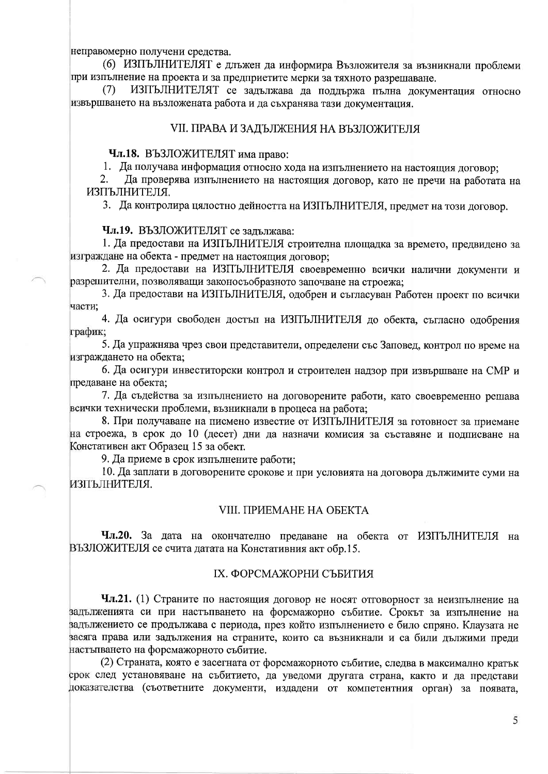неправомерно получени средства.

(6) ИЗПЪЛНИТЕЛЯТ е длъжен да информира Възложителя за възникнали проблеми при изпълнение на проекта и за предприетите мерки за тяхното разрешаване.

ИЗПЪЛНИТЕЛЯТ се задължава да поддържа пълна документация относно  $(7)$ извършването на възложената работа и да съхранява тази документация.

### VII. ПРАВА И ЗАДЪЛЖЕНИЯ НА ВЪЗЛОЖИТЕЛЯ

# Чл.18. ВЪЗЛОЖИТЕЛЯТ има право:

1. Да получава информация относно хода на изпълнението на настоящия договор;

 $2.$ Да проверява изпълнението на настоящия договор, като не пречи на работата на ИЗПЪЛНИТЕЛЯ.

3. Да контролира цялостно дейността на ИЗПЪЛНИТЕЛЯ, предмет на този договор.

Чл.19. ВЪЗЛОЖИТЕЛЯТ се задължава:

1. Да предостави на ИЗПЪЛНИТЕЛЯ строителна площадка за времето, предвидено за изграждане на обекта - предмет на настоящия договор;

2. Да предостави на ИЗПЪЛНИТЕЛЯ своевременно всички налични документи и разрешителни, позволяващи законосъобразното започване на строежа;

3. Да предостави на ИЗПЪЛНИТЕЛЯ, одобрен и съгласуван Работен проект по всички части.

4. Да осигури свободен достъп на ИЗПЪЛНИТЕЛЯ до обекта, съгласно одобрения график;

5. Да упражнява чрез свои представители, определени със Заповед, контрол по време на изграждането на обекта;

6. Да осигури инвеститорски контрол и строителен надзор при извършване на СМР и предаване на обекта;

7. Да съдейства за изпълнението на договорените работи, като своевременно решава всички технически проблеми, възникнали в процеса на работа;

8. При получаване на писмено известие от ИЗПЪЛНИТЕЛЯ за готовност за приемане на строежа, в срок до 10 (десет) дни да назначи комисия за съставяне и подписване на Констативен акт Образец 15 за обект.

9. Да приеме в срок изпълнените работи;

10. Да заплати в договорените срокове и при условията на договора дължимите суми на ИЗПЪЛНИТЕЛЯ.

### VIII. IIPHEMAHE HA OBEKTA

Чл.20. За дата на окончателно предаване на обекта от ИЗПЪЛНИТЕЛЯ на ВЪЗЛОЖИТЕЛЯ се счита датата на Констативния акт обр.15.

### IX. ФОРСМАЖОРНИ СЪБИТИЯ

Чл.21. (1) Страните по настоящия договор не носят отговорност за неизпълнение на задълженията си при настъпването на форсмажорно събитие. Срокът за изпълнение на задължението се продължава с периода, през който изпълнението е било спряно. Клаузата не засяга права или задължения на страните, които са възникнали и са били дължими преди настъпването на форсмажорното събитие.

(2) Страната, която е засегната от форсмажорното събитие, следва в максимално кратък срок след установяване на събитието, да уведоми другата страна, както и да представи доказателства (съответните документи, издадени от компетентния орган) за появата,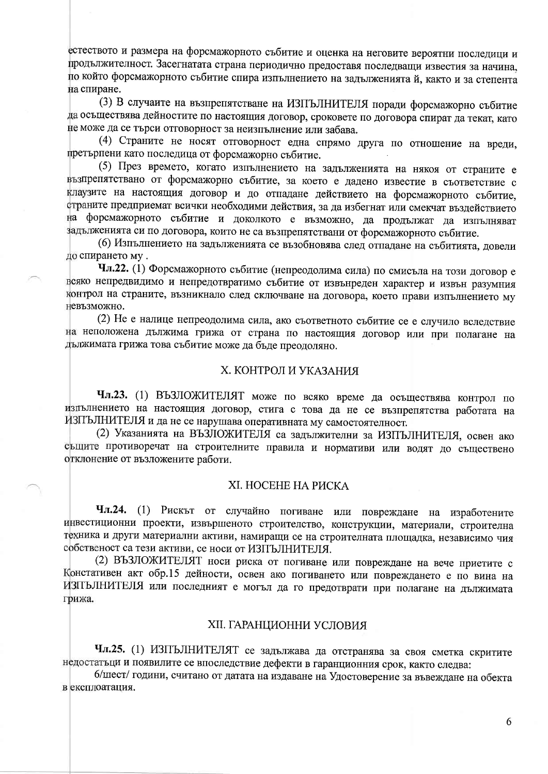естеството и размера на форсмажорното събитие и оценка на неговите вероятни последици и продължителност. Засегнатата страна периодично предоставя последващи известия за начина, по който форсмажорното събитие спира изпълнението на задълженията й, както и за степента на спиране.

(3) В случаите на възпрепятстване на ИЗПЪЛНИТЕЛЯ поради форсмажорно събитие да осъществява дейностите по настоящия договор, сроковете по договора спират да текат, като не може да се търси отговорност за неизпълнение или забава.

(4) Страните не носят отговорност една спрямо друга по отношение на вреди, претърпени като последица от форсмажорно събитие.

(5) През времето, когато изпълнението на задълженията на някоя от страните е възпрепятствано от форсмажорно събитие, за което е дадено известие в съответствие с клаузите на настоящия договор и до отпадане действието на форсмажорното събитие, страните предприемат всички необходими действия, за да избегнат или смекчат въздействието на форсмажорното събитие и доколкото е възможно, да продължат да изпълняват задълженията си по договора, които не са възпрепятствани от форсмажорното събитие.

(6) Изпълнението на задълженията се възобновява след отпадане на събитията, довели до спирането му.

Чл.22. (1) Форсмажорното събитие (непреодолима сила) по смисъла на този договор е всяко непредвидимо и непредотвратимо събитие от извънреден характер и извън разумния контрол на страните, възникнало след сключване на договора, което прави изпълнението му невъзможно.

(2) Не е налице непреодолима сила, ако съответното събитие се е случило вследствие на неположена дължима грижа от страна по настоящия договор или при полагане на дължимата грижа това събитие може да бъде преодоляно.

# Х. КОНТРОЛ И УКАЗАНИЯ

Чл.23. (1) ВЪЗЛОЖИТЕЛЯТ може по всяко време да осъществява контрол по изпълнението на настоящия договор, стига с това да не се възпрепятства работата на ИЗПЪЛНИТЕЛЯ и да не се нарушава оперативната му самостоятелност.

(2) Указанията на ВЪЗЛОЖИТЕЛЯ са задължителни за ИЗПЪЛНИТЕЛЯ, освен ако същите противоречат на строителните правила и нормативи или водят до съществено отклонение от възложените работи.

#### ХІ. НОСЕНЕ НА РИСКА

Чл.24. (1) Рискът от случайно погиване или повреждане на изработените инвестиционни проекти, извършеното строителство, конструкции, материали, строителна техника и други материални активи, намиращи се на строителната площадка, независимо чия собственост са тези активи, се носи от ИЗПЪЛНИТЕЛЯ.

(2) ВЪЗЛОЖИТЕЛЯТ носи риска от погиване или повреждане на вече приетите с Констативен акт обр.15 дейности, освен ако погиването или повреждането е по вина на ИЗПЪЛНИТЕЛЯ или последният е могъл да го предотврати при полагане на дължимата грижа.

### **XII. ГАРАНЦИОННИ УСЛОВИЯ**

Чл.25. (1) ИЗПЪЛНИТЕЛЯТ се задължава да отстранява за своя сметка скритите недостатьци и появилите се впоследствие дефекти в гаранционния срок, както следва:

6/шест/ години, считано от датата на издаване на Удостоверение за въвеждане на обекта в експлоатация.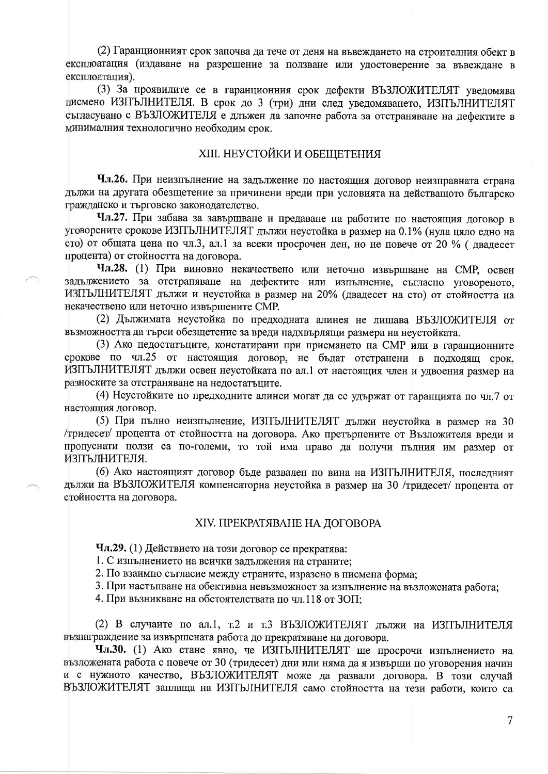(2) Гаранционният срок започва да тече от деня на въвеждането на строителния обект в експлоатация (издаване на разрешение за ползване или удостоверение за въвеждане в експлоатания).

(3) За проявилите се в гаранционния срок дефекти ВЪЗЛОЖИТЕЛЯТ уведомява писмено ИЗПЪЛНИТЕЛЯ. В срок до 3 (три) дни след уведомяването, ИЗПЪЛНИТЕЛЯТ съгласувано с ВЪЗЛОЖИТЕЛЯ е длъжен да започне работа за отстраняване на дефектите в минималния технологично необходим срок.

# **XIII. НЕУСТОЙКИ И ОБЕЩЕТЕНИЯ**

Чл.26. При неизпълнение на задължение по настоящия договор неизправната страна дължи на другата обезщетение за причинени вреди при условията на действащото българско гражданско и търговско законодателство.

Чл.27. При забава за завършване и предаване на работите по настоящия договор в уговорените срокове ИЗПЪЛНИТЕЛЯТ дължи неустойка в размер на 0.1% (нула цяло едно на сто) от общата цена по чл.3, ал.1 за всеки просрочен ден, но не повече от 20 % (двадесет процента) от стойността на договора.

Чл.28. (1) При виновно некачествено или неточно извършване на СМР. освен задължението за отстраняване на дефектите или изпълнение, съгласно уговореното, ИЗПЪЛНИТЕЛЯТ дължи и неустойка в размер на 20% (двадесет на сто) от стойността на некачествено или неточно извършените СМР.

(2) Дължимата неустойка по предходната алинея не лишава ВЪЗЛОЖИТЕЛЯ от възможността да търси обезщетение за вреди надхвърлящи размера на неустойката.

(3) Ако недостатъците, констатирани при приемането на СМР или в гаранционните срокове по чл.25 от настоящия договор, не бъдат отстранени в подходящ срок. ИЗПЪЛНИТЕЛЯТ дължи освен неустойката по ал.1 от настоящия член и удвоения размер на разноските за отстраняване на недостатъците.

(4) Неустойките по предходните алинеи могат да се удържат от гаранцията по чл.7 от настоящия договор.

(5) При пълно неизпълнение, ИЗПЪЛНИТЕЛЯТ дължи неустойка в размер на 30 /тридесет/ процента от стойността на договора. Ако претърпените от Възложителя вреди и пропуснати ползи са по-големи, то той има право да получи пълния им размер от ИЗПЪЛНИТЕЛЯ.

(6) Ако настоящият договор бъде развален по вина на ИЗПЪЛНИТЕЛЯ, последният дължи на ВЪЗЛОЖИТЕЛЯ компенсаторна неустойка в размер на 30 /тридесет/ процента от стойността на договора.

### **XIV. ПРЕКРАТЯВАНЕ НА ДОГОВОРА**

Чл.29. (1) Действието на този договор се прекратява:

1. С изпълнението на всички задължения на страните;

2. По взаимно съгласие между страните, изразено в писмена форма;

3. При настъпване на обективна невъзможност за изпълнение на възложената работа;

4. При възникване на обстоятелствата по чл.118 от ЗОП;

(2) В случаите по ал.1, т.2 и т.3 ВЪЗЛОЖИТЕЛЯТ дължи на ИЗПЪЛНИТЕЛЯ възнаграждение за извършената работа до прекратяване на договора.

Чл.30. (1) Ако стане явно, че ИЗПЪЛНИТЕЛЯТ ще просрочи изпълнението на възложената работа с повече от 30 (тридесет) дни или няма да я извърши по уговорения начин и с нужното качество, ВЪЗЛОЖИТЕЛЯТ може да развали договора. В този случай ВЪЗЛОЖИТЕЛЯТ заплаща на ИЗПЪЛНИТЕЛЯ само стойността на тези работи, които са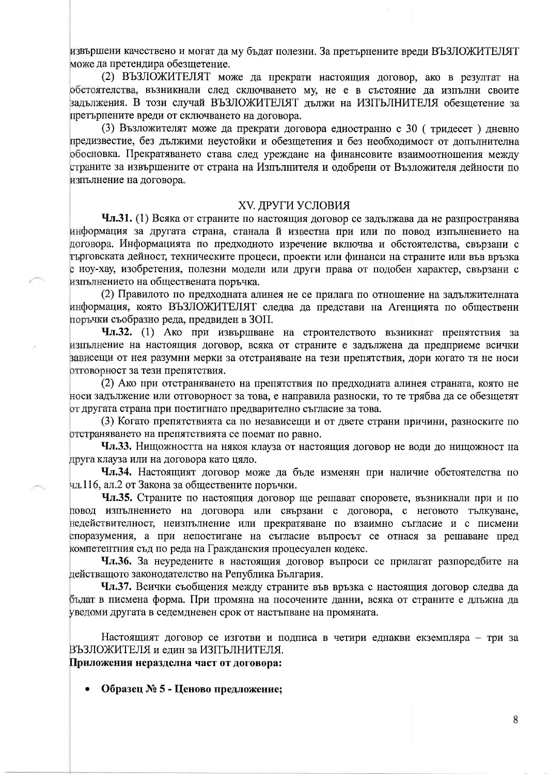извършени качествено и могат да му бъдат полезни. За претърпените вреди ВЪЗЛОЖИТЕЛЯТ може да претендира обезщетение.

(2) ВЪЗЛОЖИТЕЛЯТ може да прекрати настоящия договор, ако в резултат на обстоятелства, възникнали след сключването му, не е в състояние да изпълни своите задължения. В този случай ВЪЗЛОЖИТЕЛЯТ дължи на ИЗПЪЛНИТЕЛЯ обезщетение за претърпените вреди от сключването на договора.

(3) Възложителят може да прекрати договора едностранно с 30 (тридесет) дневно предизвестие, без дължими неустойки и обезщетения и без необходимост от допълнителна обосновка. Прекратяването става след уреждане на финансовите взаимоотношения между страните за извършените от страна на Изпълнителя и одобрени от Възложителя дейности по изпълнение на договора.

### ХV. ДРУГИ УСЛОВИЯ

Чл.31. (1) Всяка от страните по настоящия договор се задължава да не разпространява информация за другата страна, станала й известна при или по повод изпълнението на договора. Информацията по предходното изречение включва и обстоятелства, свързани с търговската дейност, техническите процеси, проекти или финанси на страните или във връзка с ноу-хау, изобретения, полезни модели или други права от подобен характер, свързани с изпълнението на обществената поръчка.

(2) Правилото по предходната алинея не се прилага по отношение на задължителната информация, която ВЪЗЛОЖИТЕЛЯТ следва да представи на Агенцията по обществени поръчки съобразно реда, предвиден в ЗОП.

Чл.32. (1) Ако при извършване на строителството възникнат препятствия за изпълнение на настоящия договор, всяка от страните е задължена да предприеме всички зависещи от нея разумни мерки за отстраняване на тези препятствия, дори когато тя не носи отговорност за тези препятствия.

(2) Ако при отстраняването на препятствия по предходната алинея страната, която не носи задължение или отговорност за това, е направила разноски, то те трябва да се обезщетят от другата страна при постигнато предварително съгласие за това.

(3) Когато препятствията са по независещи и от двете страни причини, разноските по отстраняването на препятствията се поемат по равно.

Чл.33. Нищожността на някоя клауза от настоящия договор не води до нищожност на друга клауза или на договора като цяло.

Чл.34. Настоящият договор може да бъде изменян при наличие обстоятелства по чл.116, ал.2 от Закона за обществените поръчки.

Чл.35. Страните по настоящия договор ще решават споровете, възникнали при и по повод изпълнението на договора или свързани с договора, с неговото тълкуване, недействителност, неизпълнение или прекратяване по взаимно съгласие и с писмени споразумения, а при непостигане на съгласие въпросът се отнася за решаване пред компетентния съд по реда на Гражданския процесуален кодекс.

Чл.36. За неуредените в настоящия договор въпроси се прилагат разпоредбите на действащото законодателство на Република България.

Чл.37. Всички съобщения между страните във връзка с настоящия договор следва да бъдат в писмена форма. При промяна на посочените данни, всяка от страните е длъжна да уведоми другата в седемдневен срок от настъпване на промяната.

Настоящият договор се изготви и подписа в четири еднакви екземпляра - три за ВЪЗЛОЖИТЕЛЯ и един за ИЗПЪЛНИТЕЛЯ.

Приложения неразделна част от договора:

Образец № 5 - Ценово предложение;